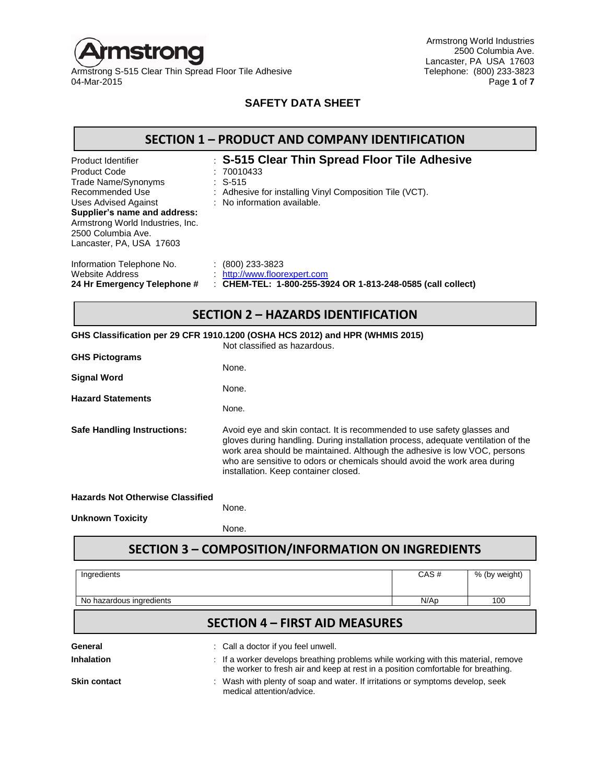

Armstrong S-515 Clear Thin Spread Floor Tile Adhesive<br>04-Mar-2015

Armstrong World Industries 2500 Columbia Ave. Lancaster, PA USA 17603<br>Telephone: (800) 233-3823 04-Mar-2015 Page **1** of **7**

#### **SAFETY DATA SHEET**

| <b>SECTION 1 - PRODUCT AND COMPANY IDENTIFICATION</b>                                                                                                                                                                                    |                                                                                                                                                                    |  |  |  |
|------------------------------------------------------------------------------------------------------------------------------------------------------------------------------------------------------------------------------------------|--------------------------------------------------------------------------------------------------------------------------------------------------------------------|--|--|--|
| Product Identifier<br><b>Product Code</b><br>Trade Name/Synonyms<br>Recommended Use<br><b>Uses Advised Against</b><br>Supplier's name and address:<br>Armstrong World Industries, Inc.<br>2500 Columbia Ave.<br>Lancaster, PA, USA 17603 | : S-515 Clear Thin Spread Floor Tile Adhesive<br>: 70010433<br>$: S-515$<br>: Adhesive for installing Vinyl Composition Tile (VCT).<br>: No information available. |  |  |  |
| Information Telephone No.<br>Website Address<br>24 Hr Emergency Telephone #                                                                                                                                                              | $\colon$ (800) 233-3823<br>http://www.floorexpert.com<br>: CHEM-TEL: 1-800-255-3924 OR 1-813-248-0585 (call collect)                                               |  |  |  |

#### **SECTION 2 – HAZARDS IDENTIFICATION**

|                                         | GHS Classification per 29 CFR 1910.1200 (OSHA HCS 2012) and HPR (WHMIS 2015)<br>Not classified as hazardous.                                                                                                                                                                                                                                                  |
|-----------------------------------------|---------------------------------------------------------------------------------------------------------------------------------------------------------------------------------------------------------------------------------------------------------------------------------------------------------------------------------------------------------------|
|                                         |                                                                                                                                                                                                                                                                                                                                                               |
| <b>GHS Pictograms</b>                   | None.                                                                                                                                                                                                                                                                                                                                                         |
| <b>Signal Word</b>                      |                                                                                                                                                                                                                                                                                                                                                               |
|                                         | None.                                                                                                                                                                                                                                                                                                                                                         |
| <b>Hazard Statements</b>                |                                                                                                                                                                                                                                                                                                                                                               |
|                                         | None.                                                                                                                                                                                                                                                                                                                                                         |
| <b>Safe Handling Instructions:</b>      | Avoid eye and skin contact. It is recommended to use safety glasses and<br>gloves during handling. During installation process, adequate ventilation of the<br>work area should be maintained. Although the adhesive is low VOC, persons<br>who are sensitive to odors or chemicals should avoid the work area during<br>installation. Keep container closed. |
| <b>Hazards Not Otherwise Classified</b> |                                                                                                                                                                                                                                                                                                                                                               |
| <b>Unknown Toxicity</b>                 | None.                                                                                                                                                                                                                                                                                                                                                         |

None.

# **SECTION 3 – COMPOSITION/INFORMATION ON INGREDIENTS**

| Ingredients              |                                                                                                                                                                         | CAS# | % (by weight) |
|--------------------------|-------------------------------------------------------------------------------------------------------------------------------------------------------------------------|------|---------------|
| No hazardous ingredients |                                                                                                                                                                         | N/Ap | 100           |
|                          | <b>SECTION 4 - FIRST AID MEASURES</b>                                                                                                                                   |      |               |
| General                  | : Call a doctor if you feel unwell.                                                                                                                                     |      |               |
| <b>Inhalation</b>        | : If a worker develops breathing problems while working with this material, remove<br>the worker to fresh air and keep at rest in a position comfortable for breathing. |      |               |
| <b>Skin contact</b>      | : Wash with plenty of soap and water. If irritations or symptoms develop, seek<br>medical attention/advice.                                                             |      |               |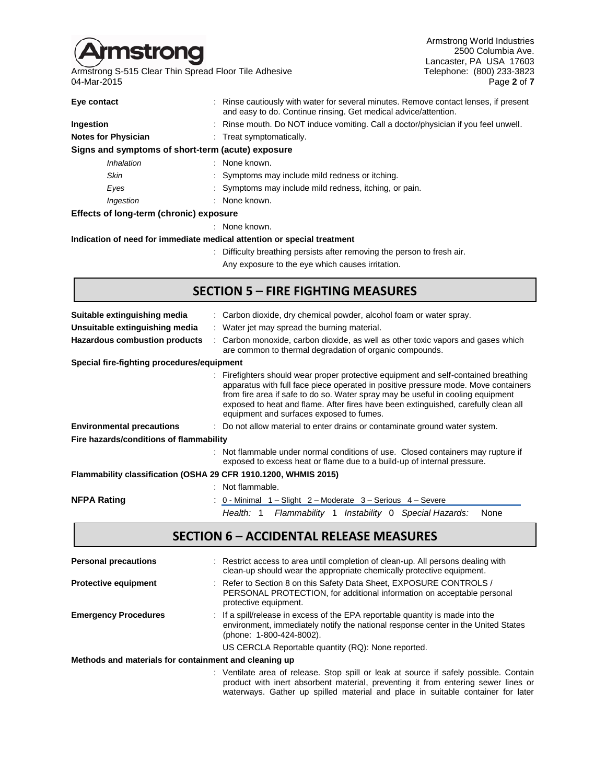

Armstrong S-515 Clear Thin Spread Floor Tile Adhesive The Channel Clear Thin Spread Floor Tile Adhesive Telephone: (800) 233-3823<br>16 Page 2 of 7 04-Mar-2015

Armstrong World Industries 2500 Columbia Ave. Lancaster, PA USA 17603<br>Telephone: (800) 233-3823

| Eye contact                                       | : Rinse cautiously with water for several minutes. Remove contact lenses, if present<br>and easy to do. Continue rinsing. Get medical advice/attention. |
|---------------------------------------------------|---------------------------------------------------------------------------------------------------------------------------------------------------------|
| Ingestion                                         | : Rinse mouth. Do NOT induce vomiting. Call a doctor/physician if you feel unwell.                                                                      |
| <b>Notes for Physician</b>                        | : Treat symptomatically.                                                                                                                                |
| Signs and symptoms of short-term (acute) exposure |                                                                                                                                                         |
| Inhalation                                        | : None known.                                                                                                                                           |
| <b>Skin</b>                                       | : Symptoms may include mild redness or itching.                                                                                                         |
| Eyes                                              | : Symptoms may include mild redness, itching, or pain.                                                                                                  |
| Ingestion                                         | : None known.                                                                                                                                           |
| Effects of long-term (chronic) exposure           |                                                                                                                                                         |
|                                                   | : None known.                                                                                                                                           |
|                                                   | Indication of need for immediate medical attention or special treatment                                                                                 |

: Difficulty breathing persists after removing the person to fresh air. Any exposure to the eye which causes irritation.

#### **SECTION 5 – FIRE FIGHTING MEASURES**

| : Carbon dioxide, dry chemical powder, alcohol foam or water spray.                                                                                                                                                                                                                                                                                                                            |
|------------------------------------------------------------------------------------------------------------------------------------------------------------------------------------------------------------------------------------------------------------------------------------------------------------------------------------------------------------------------------------------------|
|                                                                                                                                                                                                                                                                                                                                                                                                |
| : Water jet may spread the burning material.                                                                                                                                                                                                                                                                                                                                                   |
| : Carbon monoxide, carbon dioxide, as well as other toxic vapors and gases which<br>are common to thermal degradation of organic compounds.                                                                                                                                                                                                                                                    |
|                                                                                                                                                                                                                                                                                                                                                                                                |
| : Firefighters should wear proper protective equipment and self-contained breathing<br>apparatus with full face piece operated in positive pressure mode. Move containers<br>from fire area if safe to do so. Water spray may be useful in cooling equipment<br>exposed to heat and flame. After fires have been extinguished, carefully clean all<br>equipment and surfaces exposed to fumes. |
| : Do not allow material to enter drains or contaminate ground water system.                                                                                                                                                                                                                                                                                                                    |
|                                                                                                                                                                                                                                                                                                                                                                                                |
| : Not flammable under normal conditions of use. Closed containers may rupture if<br>exposed to excess heat or flame due to a build-up of internal pressure.                                                                                                                                                                                                                                    |
| Flammability classification (OSHA 29 CFR 1910.1200, WHMIS 2015)                                                                                                                                                                                                                                                                                                                                |
|                                                                                                                                                                                                                                                                                                                                                                                                |
| : 0 - Minimal 1 – Slight 2 – Moderate 3 – Serious 4 – Severe                                                                                                                                                                                                                                                                                                                                   |
|                                                                                                                                                                                                                                                                                                                                                                                                |

*Health:* 1 *Flammability* 1 *Instability* 0 *Special Hazards:* None

#### **SECTION 6 – ACCIDENTAL RELEASE MEASURES**

| <b>Personal precautions</b>                           | : Restrict access to area until completion of clean-up. All persons dealing with<br>clean-up should wear the appropriate chemically protective equipment.                                       |
|-------------------------------------------------------|-------------------------------------------------------------------------------------------------------------------------------------------------------------------------------------------------|
| <b>Protective equipment</b>                           | : Refer to Section 8 on this Safety Data Sheet, EXPOSURE CONTROLS /<br>PERSONAL PROTECTION, for additional information on acceptable personal<br>protective equipment.                          |
| <b>Emergency Procedures</b>                           | : If a spill/release in excess of the EPA reportable quantity is made into the<br>environment, immediately notify the national response center in the United States<br>(phone: 1-800-424-8002). |
|                                                       | US CERCLA Reportable quantity (RQ): None reported.                                                                                                                                              |
| Methods and materials for containment and cleaning up |                                                                                                                                                                                                 |

: Ventilate area of release. Stop spill or leak at source if safely possible. Contain product with inert absorbent material, preventing it from entering sewer lines or waterways. Gather up spilled material and place in suitable container for later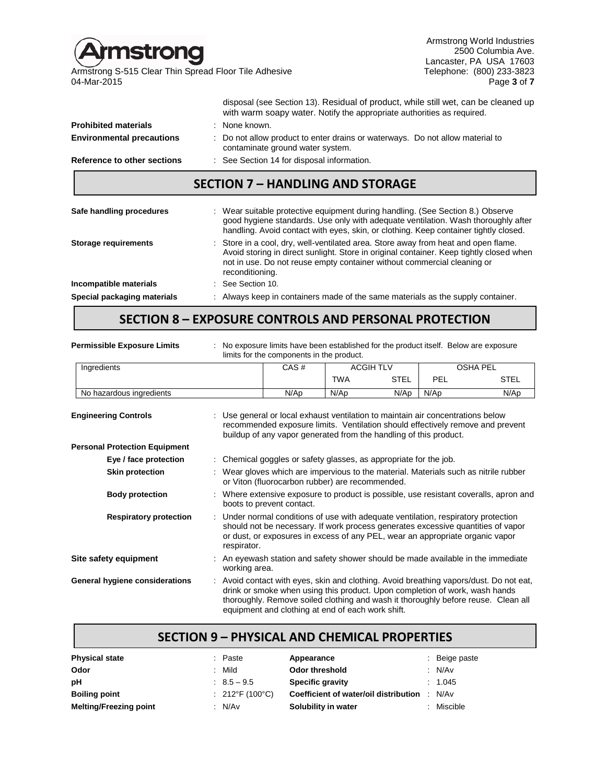Armstrong World Industries mstrong 2500 Columbia Ave. Lancaster, PA USA 17603 Armstrong S-515 Clear Thin Spread Floor Tile Adhesive The Channel Clear Thin Spread Floor Tile Adhesive Telephone: (800) 233-3823<br>1 Page 3 of 7 04-Mar-2015 Page **3** of **7** disposal (see Section 13). Residual of product, while still wet, can be cleaned up with warm soapy water. Notify the appropriate authorities as required. **Prohibited materials** : None known. **Environmental precautions** : Do not allow product to enter drains or waterways. Do not allow material to contaminate ground water system. **Reference to other sections** : See Section 14 for disposal information.

#### **SECTION 7 – HANDLING AND STORAGE**

| Safe handling procedures    | : Wear suitable protective equipment during handling. (See Section 8.) Observe<br>good hygiene standards. Use only with adequate ventilation. Wash thoroughly after<br>handling. Avoid contact with eyes, skin, or clothing. Keep container tightly closed.                 |
|-----------------------------|-----------------------------------------------------------------------------------------------------------------------------------------------------------------------------------------------------------------------------------------------------------------------------|
| <b>Storage requirements</b> | : Store in a cool, dry, well-ventilated area. Store away from heat and open flame.<br>Avoid storing in direct sunlight. Store in original container. Keep tightly closed when<br>not in use. Do not reuse empty container without commercial cleaning or<br>reconditioning. |
| Incompatible materials      | $\therefore$ See Section 10.                                                                                                                                                                                                                                                |
| Special packaging materials | : Always keep in containers made of the same materials as the supply container.                                                                                                                                                                                             |

#### **SECTION 8 – EXPOSURE CONTROLS AND PERSONAL PROTECTION**

| <b>Permissible Exposure Limits</b>   |  |                                                                                                                                         | No exposure limits have been established for the product itself. Below are exposure<br>limits for the components in the product.                                                                                                                        |            |                  |      |                                                                                       |
|--------------------------------------|--|-----------------------------------------------------------------------------------------------------------------------------------------|---------------------------------------------------------------------------------------------------------------------------------------------------------------------------------------------------------------------------------------------------------|------------|------------------|------|---------------------------------------------------------------------------------------|
| Ingredients                          |  |                                                                                                                                         | CAS#                                                                                                                                                                                                                                                    |            | <b>ACGIH TLV</b> |      | <b>OSHA PEL</b>                                                                       |
|                                      |  |                                                                                                                                         |                                                                                                                                                                                                                                                         | <b>TWA</b> | <b>STEL</b>      | PEL  | <b>STEL</b>                                                                           |
| No hazardous ingredients             |  |                                                                                                                                         | N/Ap                                                                                                                                                                                                                                                    | N/Ap       | N/Ap             | N/Ap | N/Ap                                                                                  |
| <b>Engineering Controls</b>          |  |                                                                                                                                         | Use general or local exhaust ventilation to maintain air concentrations below<br>recommended exposure limits. Ventilation should effectively remove and prevent<br>buildup of any vapor generated from the handling of this product.                    |            |                  |      |                                                                                       |
| <b>Personal Protection Equipment</b> |  |                                                                                                                                         |                                                                                                                                                                                                                                                         |            |                  |      |                                                                                       |
| Eye / face protection                |  |                                                                                                                                         | Chemical goggles or safety glasses, as appropriate for the job.                                                                                                                                                                                         |            |                  |      |                                                                                       |
| <b>Skin protection</b>               |  | : Wear gloves which are impervious to the material. Materials such as nitrile rubber<br>or Viton (fluorocarbon rubber) are recommended. |                                                                                                                                                                                                                                                         |            |                  |      |                                                                                       |
| <b>Body protection</b>               |  |                                                                                                                                         | boots to prevent contact.                                                                                                                                                                                                                               |            |                  |      | : Where extensive exposure to product is possible, use resistant coveralls, apron and |
| <b>Respiratory protection</b>        |  | respirator.                                                                                                                             | : Under normal conditions of use with adequate ventilation, respiratory protection<br>should not be necessary. If work process generates excessive quantities of vapor<br>or dust, or exposures in excess of any PEL, wear an appropriate organic vapor |            |                  |      |                                                                                       |
| Site safety equipment                |  | working area.                                                                                                                           | An eyewash station and safety shower should be made available in the immediate                                                                                                                                                                          |            |                  |      |                                                                                       |
| General hygiene considerations       |  |                                                                                                                                         | drink or smoke when using this product. Upon completion of work, wash hands<br>thoroughly. Remove soiled clothing and wash it thoroughly before reuse. Clean all<br>equipment and clothing at end of each work shift.                                   |            |                  |      | Avoid contact with eyes, skin and clothing. Avoid breathing vapors/dust. Do not eat,  |

#### **SECTION 9 – PHYSICAL AND CHEMICAL PROPERTIES**

| <b>Physical state</b>         | : Paste                | Appearance                            | : Beige paste |
|-------------------------------|------------------------|---------------------------------------|---------------|
| Odor                          | : Mild                 | Odor threshold                        | : N/Av        |
| рH                            | $\therefore$ 8.5 – 9.5 | <b>Specific gravity</b>               | : 1.045       |
| <b>Boiling point</b>          | : 212°F (100°C)        | Coefficient of water/oil distribution | : N/Av        |
| <b>Melting/Freezing point</b> | : N/Av                 | Solubility in water                   | : Miscible    |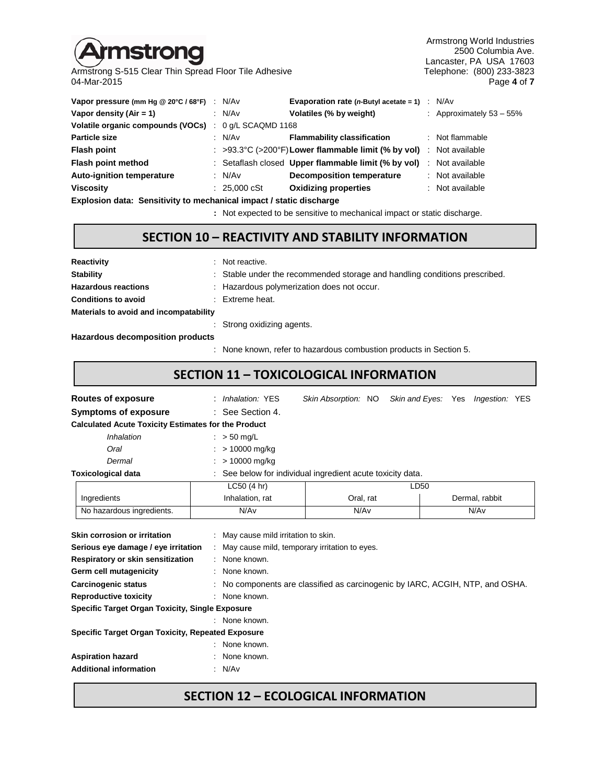# nstrong

Armstrong S-515 Clear Thin Spread Floor Tile Adhesive<br>04-Mar-2015

Armstrong World Industries 2500 Columbia Ave. Lancaster, PA USA 17603<br>Telephone: (800) 233-3823 04-Mar-2015 Page **4** of **7**

| Vapor pressure (mm Hg @ 20°C / 68°F) : N/Av |                        | <b>Evaporation rate (n-Butyl acetate = 1)</b> $\therefore$ N/Av     |                             |
|---------------------------------------------|------------------------|---------------------------------------------------------------------|-----------------------------|
| Vapor density (Air = 1)                     | : N/Av                 | Volatiles (% by weight)                                             | : Approximately $53 - 55\%$ |
| Volatile organic compounds (VOCs)           | $: 0$ g/L SCAQMD 1168  |                                                                     |                             |
| <b>Particle size</b>                        | : N/Av                 | <b>Flammability classification</b>                                  | : Not flammable             |
| <b>Flash point</b>                          |                        | : >93.3°C (>200°F) Lower flammable limit (% by vol) : Not available |                             |
| Flash point method                          |                        | : Setaflash closed Upper flammable limit (% by vol)                 | : Not available             |
| <b>Auto-ignition temperature</b>            | : $N/Av$               | <b>Decomposition temperature</b>                                    | : Not available             |
| <b>Viscosity</b>                            | : $25,000 \text{ cSt}$ | <b>Oxidizing properties</b>                                         | : Not available             |
|                                             |                        |                                                                     |                             |

**Explosion data: Sensitivity to mechanical impact / static discharge**

**:** Not expected to be sensitive to mechanical impact or static discharge.

#### **SECTION 10 – REACTIVITY AND STABILITY INFORMATION**

| <b>Reactivity</b>                      | : Not reactive.                                                            |
|----------------------------------------|----------------------------------------------------------------------------|
| <b>Stability</b>                       | : Stable under the recommended storage and handling conditions prescribed. |
| <b>Hazardous reactions</b>             | : Hazardous polymerization does not occur.                                 |
| <b>Conditions to avoid</b>             | : Extreme heat.                                                            |
| Materials to avoid and incompatability |                                                                            |
|                                        | : Strong oxidizing agents.                                                 |

**Hazardous decomposition products**

: None known, refer to hazardous combustion products in Section 5.

### **SECTION 11 – TOXICOLOGICAL INFORMATION**

| Routes of exposure                                                                                                                                                                                                                                                                                                                                                                                                              | : Inhalation: YES                                          |           |      | Skin Absorption: NO Skin and Eyes: Yes Ingestion: YES |  |  |  |  |
|---------------------------------------------------------------------------------------------------------------------------------------------------------------------------------------------------------------------------------------------------------------------------------------------------------------------------------------------------------------------------------------------------------------------------------|------------------------------------------------------------|-----------|------|-------------------------------------------------------|--|--|--|--|
| <b>Symptoms of exposure</b>                                                                                                                                                                                                                                                                                                                                                                                                     | : See Section 4.                                           |           |      |                                                       |  |  |  |  |
| <b>Calculated Acute Toxicity Estimates for the Product</b>                                                                                                                                                                                                                                                                                                                                                                      |                                                            |           |      |                                                       |  |  |  |  |
| Inhalation                                                                                                                                                                                                                                                                                                                                                                                                                      | $\therefore$ > 50 mg/L                                     |           |      |                                                       |  |  |  |  |
| Oral                                                                                                                                                                                                                                                                                                                                                                                                                            | > 10000 mg/kg                                              |           |      |                                                       |  |  |  |  |
| Dermal                                                                                                                                                                                                                                                                                                                                                                                                                          | > 10000 mg/kg                                              |           |      |                                                       |  |  |  |  |
| <b>Toxicological data</b>                                                                                                                                                                                                                                                                                                                                                                                                       | : See below for individual ingredient acute toxicity data. |           |      |                                                       |  |  |  |  |
|                                                                                                                                                                                                                                                                                                                                                                                                                                 | LC50 (4 hr)                                                |           | LD50 |                                                       |  |  |  |  |
| Ingredients                                                                                                                                                                                                                                                                                                                                                                                                                     | Inhalation, rat                                            | Oral, rat |      | Dermal, rabbit                                        |  |  |  |  |
| No hazardous ingredients.                                                                                                                                                                                                                                                                                                                                                                                                       | N/Av                                                       | N/Av      |      | N/Av                                                  |  |  |  |  |
| Skin corrosion or irritation<br>: May cause mild irritation to skin.<br>Serious eye damage / eye irritation<br>: May cause mild, temporary irritation to eyes.<br>Respiratory or skin sensitization<br>: None known.<br>Germ cell mutagenicity<br>: None known.<br>: No components are classified as carcinogenic by IARC, ACGIH, NTP, and OSHA.<br><b>Carcinogenic status</b><br><b>Reproductive toxicity</b><br>: None known. |                                                            |           |      |                                                       |  |  |  |  |
| <b>Specific Target Organ Toxicity, Single Exposure</b>                                                                                                                                                                                                                                                                                                                                                                          | : None known.                                              |           |      |                                                       |  |  |  |  |
| <b>Specific Target Organ Toxicity, Repeated Exposure</b>                                                                                                                                                                                                                                                                                                                                                                        | None known.                                                |           |      |                                                       |  |  |  |  |
| <b>Aspiration hazard</b>                                                                                                                                                                                                                                                                                                                                                                                                        | None known.                                                |           |      |                                                       |  |  |  |  |
| <b>Additional information</b>                                                                                                                                                                                                                                                                                                                                                                                                   | N/Av                                                       |           |      |                                                       |  |  |  |  |

## **SECTION 12 – ECOLOGICAL INFORMATION**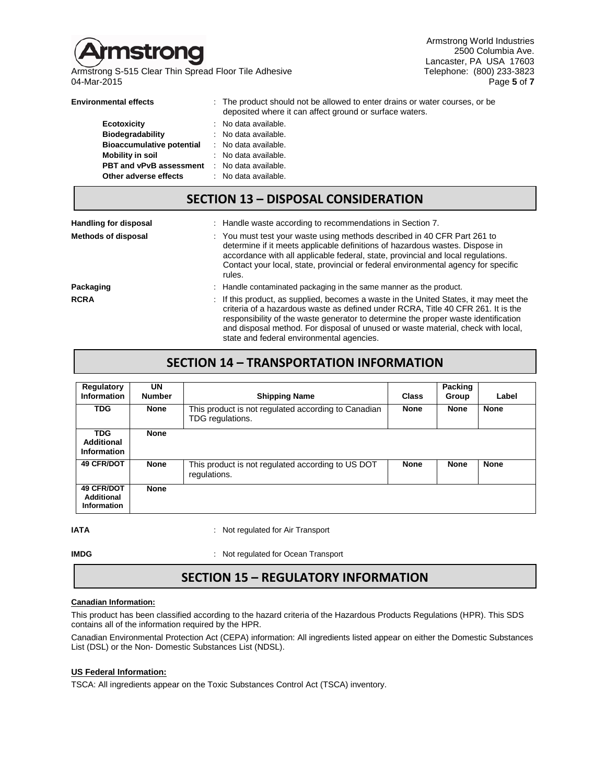

Armstrong S-515 Clear Thin Spread Floor Tile Adhesive Telephone: (800) 233-3823 04-Mar-2015 Page **5** of **7**

Armstrong World Industries 2500 Columbia Ave. Lancaster, PA USA 17603

| <b>Environmental effects</b>                        | : The product should not be allowed to enter drains or water courses, or be<br>deposited where it can affect ground or surface waters. |
|-----------------------------------------------------|----------------------------------------------------------------------------------------------------------------------------------------|
| Ecotoxicity                                         | : No data available.                                                                                                                   |
| Biodegradability                                    | : No data available.                                                                                                                   |
| <b>Bioaccumulative potential</b>                    | : No data available.                                                                                                                   |
| <b>Mobility in soil</b>                             | : No data available.                                                                                                                   |
| <b>PBT and vPvB assessment</b> : No data available. |                                                                                                                                        |
| Other adverse effects                               | : No data available.                                                                                                                   |

# **SECTION 13 – DISPOSAL CONSIDERATION**

| <b>Handling for disposal</b> | : Handle waste according to recommendations in Section 7.                                                                                                                                                                                                                                                                                                                                        |  |
|------------------------------|--------------------------------------------------------------------------------------------------------------------------------------------------------------------------------------------------------------------------------------------------------------------------------------------------------------------------------------------------------------------------------------------------|--|
| <b>Methods of disposal</b>   | : You must test your waste using methods described in 40 CFR Part 261 to<br>determine if it meets applicable definitions of hazardous wastes. Dispose in<br>accordance with all applicable federal, state, provincial and local regulations.<br>Contact your local, state, provincial or federal environmental agency for specific<br>rules.                                                     |  |
| Packaging                    | : Handle contaminated packaging in the same manner as the product.                                                                                                                                                                                                                                                                                                                               |  |
| <b>RCRA</b>                  | : If this product, as supplied, becomes a waste in the United States, it may meet the<br>criteria of a hazardous waste as defined under RCRA. Title 40 CFR 261. It is the<br>responsibility of the waste generator to determine the proper waste identification<br>and disposal method. For disposal of unused or waste material, check with local,<br>state and federal environmental agencies. |  |

#### **SECTION 14 – TRANSPORTATION INFORMATION**

| Regulatory<br><b>Information</b>                      | UN<br><b>Number</b> | <b>Shipping Name</b>                                                    | <b>Class</b> | <b>Packing</b><br>Group | Label       |
|-------------------------------------------------------|---------------------|-------------------------------------------------------------------------|--------------|-------------------------|-------------|
| <b>TDG</b>                                            | <b>None</b>         | This product is not regulated according to Canadian<br>TDG regulations. | <b>None</b>  | <b>None</b>             | <b>None</b> |
| <b>TDG</b><br><b>Additional</b><br><b>Information</b> | <b>None</b>         |                                                                         |              |                         |             |
| <b>49 CFR/DOT</b>                                     | <b>None</b>         | This product is not regulated according to US DOT<br>regulations.       | <b>None</b>  | <b>None</b>             | <b>None</b> |
| <b>49 CFR/DOT</b><br>Additional<br><b>Information</b> | <b>None</b>         |                                                                         |              |                         |             |

**IATA IATA** : Not regulated for Air Transport

**IMDG** : Not regulated for Ocean Transport

# **SECTION 15 – REGULATORY INFORMATION**

#### **Canadian Information:**

This product has been classified according to the hazard criteria of the Hazardous Products Regulations (HPR). This SDS contains all of the information required by the HPR.

Canadian Environmental Protection Act (CEPA) information: All ingredients listed appear on either the Domestic Substances List (DSL) or the Non- Domestic Substances List (NDSL).

#### **US Federal Information:**

TSCA: All ingredients appear on the Toxic Substances Control Act (TSCA) inventory.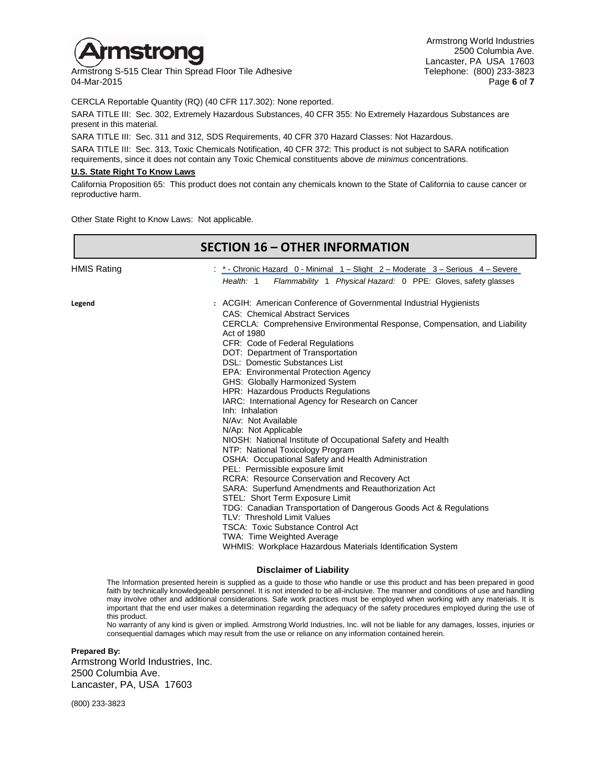

Armstrong S-515 Clear Thin Spread Floor Tile Adhesive The Channel Clear Thin Spread Floor Tile Adhesive Telephone: (800) 233-3823<br>17 Page 6 of 7 04-Mar-2015 Page **6** of **7**

CERCLA Reportable Quantity (RQ) (40 CFR 117.302): None reported.

SARA TITLE III: Sec. 302, Extremely Hazardous Substances, 40 CFR 355: No Extremely Hazardous Substances are present in this material.

SARA TITLE III: Sec. 311 and 312, SDS Requirements, 40 CFR 370 Hazard Classes: Not Hazardous.

SARA TITLE III: Sec. 313, Toxic Chemicals Notification, 40 CFR 372: This product is not subject to SARA notification requirements, since it does not contain any Toxic Chemical constituents above *de minimus* concentrations.

#### **U.S. State Right To Know Laws**

California Proposition 65: This product does not contain any chemicals known to the State of California to cause cancer or reproductive harm.

Other State Right to Know Laws: Not applicable.

|                    | <b>SECTION 16 - OTHER INFORMATION</b>                                                                                                                                                                                                                                                                                                                                                                                                                                                                                                                                                                                                                                                                                                                                                                                                                                                                                                                                                                                                                                                                                                                |
|--------------------|------------------------------------------------------------------------------------------------------------------------------------------------------------------------------------------------------------------------------------------------------------------------------------------------------------------------------------------------------------------------------------------------------------------------------------------------------------------------------------------------------------------------------------------------------------------------------------------------------------------------------------------------------------------------------------------------------------------------------------------------------------------------------------------------------------------------------------------------------------------------------------------------------------------------------------------------------------------------------------------------------------------------------------------------------------------------------------------------------------------------------------------------------|
| <b>HMIS Rating</b> | : *- Chronic Hazard 0 - Minimal 1 - Slight 2 - Moderate 3 - Serious 4 - Severe<br>Flammability 1 Physical Hazard: 0 PPE: Gloves, safety glasses<br>Health: 1                                                                                                                                                                                                                                                                                                                                                                                                                                                                                                                                                                                                                                                                                                                                                                                                                                                                                                                                                                                         |
| Legend             | : ACGIH: American Conference of Governmental Industrial Hygienists<br><b>CAS: Chemical Abstract Services</b><br>CERCLA: Comprehensive Environmental Response, Compensation, and Liability<br>Act of 1980<br>CFR: Code of Federal Regulations<br>DOT: Department of Transportation<br>DSL: Domestic Substances List<br>EPA: Environmental Protection Agency<br>GHS: Globally Harmonized System<br>HPR: Hazardous Products Regulations<br>IARC: International Agency for Research on Cancer<br>Inh: Inhalation<br>N/Av: Not Available<br>N/Ap: Not Applicable<br>NIOSH: National Institute of Occupational Safety and Health<br>NTP: National Toxicology Program<br>OSHA: Occupational Safety and Health Administration<br>PEL: Permissible exposure limit<br><b>RCRA: Resource Conservation and Recovery Act</b><br>SARA: Superfund Amendments and Reauthorization Act<br>STEL: Short Term Exposure Limit<br>TDG: Canadian Transportation of Dangerous Goods Act & Regulations<br>TLV: Threshold Limit Values<br><b>TSCA: Toxic Substance Control Act</b><br>TWA: Time Weighted Average<br>WHMIS: Workplace Hazardous Materials Identification System |

#### **Disclaimer of Liability**

The Information presented herein is supplied as a guide to those who handle or use this product and has been prepared in good faith by technically knowledgeable personnel. It is not intended to be all-inclusive. The manner and conditions of use and handling may involve other and additional considerations. Safe work practices must be employed when working with any materials. It is important that the end user makes a determination regarding the adequacy of the safety procedures employed during the use of this product.

No warranty of any kind is given or implied. Armstrong World Industries, Inc. will not be liable for any damages, losses, injuries or consequential damages which may result from the use or reliance on any information contained herein.

**Prepared By:** Armstrong World Industries, Inc. 2500 Columbia Ave. Lancaster, PA, USA 17603

(800) 233-3823

Armstrong World Industries 2500 Columbia Ave. Lancaster, PA USA 17603